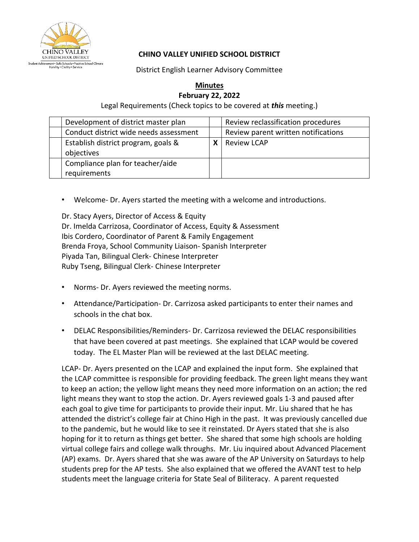

## **CHINO VALLEY UNIFIED SCHOOL DISTRICT**

District English Learner Advisory Committee

## **Minutes February 22, 2022**

Legal Requirements (Check topics to be covered at *this* meeting.)

| Development of district master plan               |   | Review reclassification procedures  |
|---------------------------------------------------|---|-------------------------------------|
| Conduct district wide needs assessment            |   | Review parent written notifications |
| Establish district program, goals &<br>objectives | χ | <b>Review LCAP</b>                  |
| Compliance plan for teacher/aide<br>requirements  |   |                                     |

• Welcome- Dr. Ayers started the meeting with a welcome and introductions.

Dr. Stacy Ayers, Director of Access & Equity Dr. Imelda Carrizosa, Coordinator of Access, Equity & Assessment Ibis Cordero, Coordinator of Parent & Family Engagement Brenda Froya, School Community Liaison- Spanish Interpreter Piyada Tan, Bilingual Clerk- Chinese Interpreter Ruby Tseng, Bilingual Clerk- Chinese Interpreter

- Norms- Dr. Ayers reviewed the meeting norms.
- Attendance/Participation- Dr. Carrizosa asked participants to enter their names and schools in the chat box.
- DELAC Responsibilities/Reminders- Dr. Carrizosa reviewed the DELAC responsibilities that have been covered at past meetings. She explained that LCAP would be covered today. The EL Master Plan will be reviewed at the last DELAC meeting.

LCAP- Dr. Ayers presented on the LCAP and explained the input form. She explained that the LCAP committee is responsible for providing feedback. The green light means they want to keep an action; the yellow light means they need more information on an action; the red light means they want to stop the action. Dr. Ayers reviewed goals 1-3 and paused after each goal to give time for participants to provide their input. Mr. Liu shared that he has attended the district's college fair at Chino High in the past. It was previously cancelled due to the pandemic, but he would like to see it reinstated. Dr Ayers stated that she is also hoping for it to return as things get better. She shared that some high schools are holding virtual college fairs and college walk throughs. Mr. Liu inquired about Advanced Placement (AP) exams. Dr. Ayers shared that she was aware of the AP University on Saturdays to help students prep for the AP tests. She also explained that we offered the AVANT test to help students meet the language criteria for State Seal of Biliteracy. A parent requested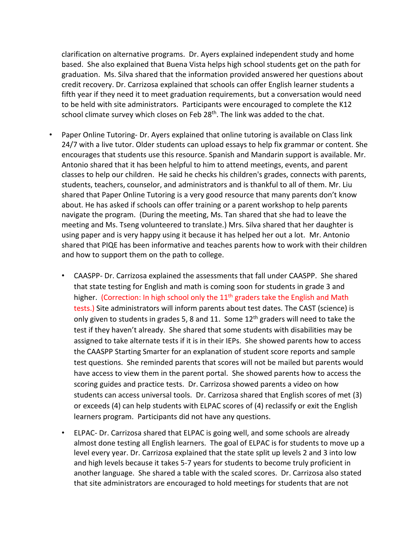clarification on alternative programs. Dr. Ayers explained independent study and home based. She also explained that Buena Vista helps high school students get on the path for graduation. Ms. Silva shared that the information provided answered her questions about credit recovery. Dr. Carrizosa explained that schools can offer English learner students a fifth year if they need it to meet graduation requirements, but a conversation would need to be held with site administrators. Participants were encouraged to complete the K12 school climate survey which closes on Feb 28<sup>th</sup>. The link was added to the chat.

- Paper Online Tutoring- Dr. Ayers explained that online tutoring is available on Class link 24/7 with a live tutor. Older students can upload essays to help fix grammar or content. She encourages that students use this resource. Spanish and Mandarin support is available. Mr. Antonio shared that it has been helpful to him to attend meetings, events, and parent classes to help our children. He said he checks his children's grades, connects with parents, students, teachers, counselor, and administrators and is thankful to all of them. Mr. Liu shared that Paper Online Tutoring is a very good resource that many parents don't know about. He has asked if schools can offer training or a parent workshop to help parents navigate the program. (During the meeting, Ms. Tan shared that she had to leave the meeting and Ms. Tseng volunteered to translate.) Mrs. Silva shared that her daughter is using paper and is very happy using it because it has helped her out a lot. Mr. Antonio shared that PIQE has been informative and teaches parents how to work with their children and how to support them on the path to college.
	- CAASPP- Dr. Carrizosa explained the assessments that fall under CAASPP. She shared that state testing for English and math is coming soon for students in grade 3 and higher. (Correction: In high school only the  $11<sup>th</sup>$  graders take the English and Math tests.) Site administrators will inform parents about test dates. The CAST (science) is only given to students in grades 5, 8 and 11. Some  $12<sup>th</sup>$  graders will need to take the test if they haven't already. She shared that some students with disabilities may be assigned to take alternate tests if it is in their IEPs. She showed parents how to access the CAASPP Starting Smarter for an explanation of student score reports and sample test questions. She reminded parents that scores will not be mailed but parents would have access to view them in the parent portal. She showed parents how to access the scoring guides and practice tests. Dr. Carrizosa showed parents a video on how students can access universal tools. Dr. Carrizosa shared that English scores of met (3) or exceeds (4) can help students with ELPAC scores of (4) reclassify or exit the English learners program. Participants did not have any questions.
	- ELPAC- Dr. Carrizosa shared that ELPAC is going well, and some schools are already almost done testing all English learners. The goal of ELPAC is for students to move up a level every year. Dr. Carrizosa explained that the state split up levels 2 and 3 into low and high levels because it takes 5-7 years for students to become truly proficient in another language. She shared a table with the scaled scores. Dr. Carrizosa also stated that site administrators are encouraged to hold meetings for students that are not